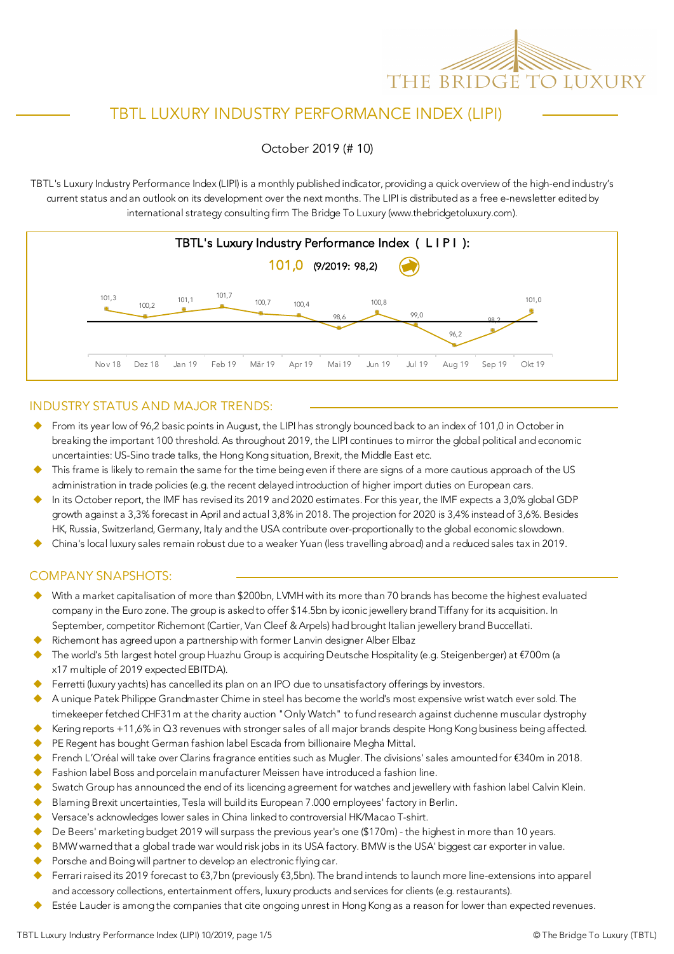

# TBTL LUXURY INDUSTRY PERFORMANCE INDEX (LIPI)

#### October 2019 (# 10)

TBTL's Luxury Industry Performance Index (LIPI) is a monthly published indicator, providing a quick overview of the high-end industry's current status and an outlook on its development over the next months. The LIPI is distributed as a free e-newsletter edited by international strategy consulting firm The Bridge To Luxury (www.thebridgetoluxury.com).



#### INDUSTRY STATUS AND MAJOR TRENDS:

- ◆ From its year low of 96,2 basic points in August, the LIPI has strongly bounced back to an index of 101,0 in October in breaking the important 100 threshold. As throughout 2019, the LIPI continues to mirror the global political and economic uncertainties: US-Sino trade talks, the Hong Kong situation, Brexit, the Middle East etc.
- This frame is likely to remain the same for the time being even if there are signs of a more cautious approach of the US administration in trade policies (e.g. the recent delayed introduction of higher import duties on European cars.
- In its October report, the IMF has revised its 2019 and 2020 estimates. For this year, the IMF expects a 3,0% global GDP growth against a 3,3% forecast in April and actual 3,8% in 2018. The projection for 2020 is 3,4% instead of 3,6%. Besides HK, Russia, Switzerland, Germany, Italy and the USA contribute over-proportionally to the global economic slowdown.
- u China's local luxury sales remain robust due to a weaker Yuan (less travelling abroad) and a reduced sales tax in 2019.

#### COMPANY SNAPSHOTS:

- u With a market capitalisation of more than \$200bn, LVMH with its more than 70 brands has become the highest evaluated company in the Euro zone. The group is asked to offer \$14.5bn by iconic jewellery brand Tiffany for its acquisition. In September, competitor Richemont (Cartier, Van Cleef & Arpels) had brought Italian jewellery brand Buccellati.
- Richemont has agreed upon a partnership with former Lanvin designer Alber Elbaz
- The world's 5th largest hotel group Huazhu Group is acquiring Deutsche Hospitality (e.g. Steigenberger) at €700m (a x17 multiple of 2019 expected EBITDA).
- Ferretti (luxury yachts) has cancelled its plan on an IPO due to unsatisfactory offerings by investors.
- A unique Patek Philippe Grandmaster Chime in steel has become the world's most expensive wrist watch ever sold. The timekeeper fetched CHF31m at the charity auction "Only Watch" to fund research against duchenne muscular dystrophy
- Kering reports +11,6% in Q3 revenues with stronger sales of all major brands despite Hong Kong business being affected.
- PE Regent has bought German fashion label Escada from billionaire Megha Mittal.
- French L'Oréal will take over Clarins fragrance entities such as Mugler. The divisions' sales amounted for €340m in 2018.
- Fashion label Boss and porcelain manufacturer Meissen have introduced a fashion line.
- Swatch Group has announced the end of its licencing agreement for watches and jewellery with fashion label Calvin Klein.
- Blaming Brexit uncertainties, Tesla will build its European 7.000 employees' factory in Berlin.
- u Versace's acknowledges lower sales in China linked to controversial HK/Macao T-shirt.
- De Beers' marketing budget 2019 will surpass the previous year's one (\$170m) the highest in more than 10 years.
- BMW warned that a global trade war would risk jobs in its USA factory. BMW is the USA' biggest car exporter in value.
- Porsche and Boing will partner to develop an electronic flying car.
- u Ferrari raised its 2019 forecast to €3,7bn (previously €3,5bn). The brand intends to launch more line-extensions into apparel and accessory collections, entertainment offers, luxury products and services for clients (e.g. restaurants).
- Estée Lauder is among the companies that cite ongoing unrest in Hong Kong as a reason for lower than expected revenues.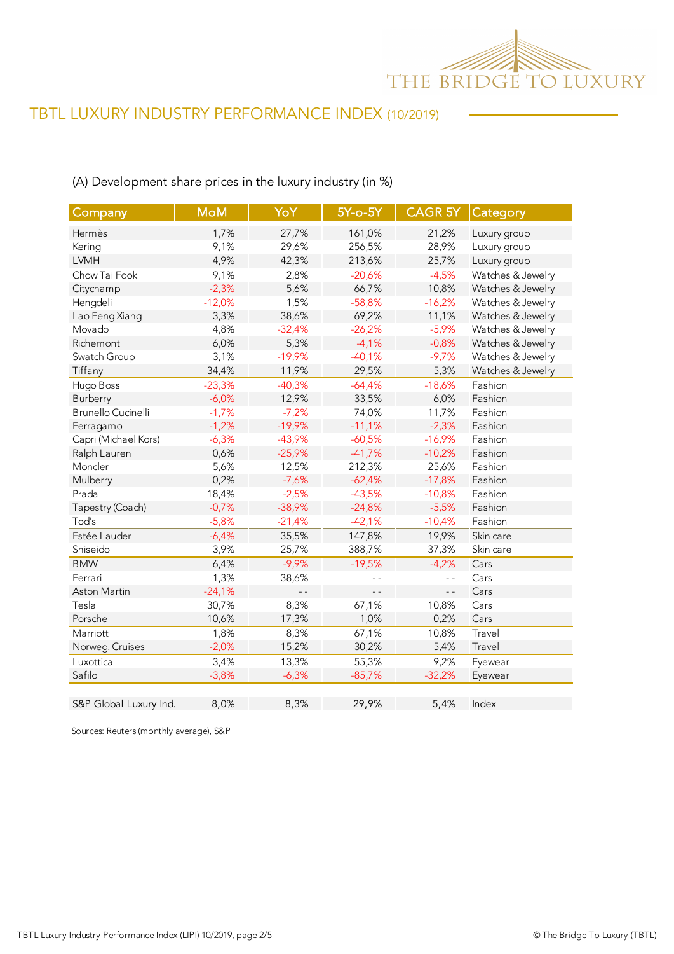

## (A) Development share prices in the luxury industry (in %)

| Company                   | <b>MoM</b> | YoY      | 5Y-o-5Y  | <b>CAGR 5Y</b> | Category          |
|---------------------------|------------|----------|----------|----------------|-------------------|
| Hermès                    | 1,7%       | 27,7%    | 161,0%   | 21,2%          | Luxury group      |
| Kering                    | 9,1%       | 29,6%    | 256,5%   | 28,9%          | Luxury group      |
| <b>LVMH</b>               | 4,9%       | 42,3%    | 213,6%   | 25,7%          | Luxury group      |
| Chow Tai Fook             | 9,1%       | 2,8%     | $-20,6%$ | $-4,5%$        | Watches & Jewelry |
| Citychamp                 | $-2,3%$    | 5,6%     | 66,7%    | 10,8%          | Watches & Jewelry |
| Hengdeli                  | $-12,0%$   | 1,5%     | $-58,8%$ | $-16,2%$       | Watches & Jewelry |
| Lao Feng Xiang            | 3,3%       | 38,6%    | 69,2%    | 11,1%          | Watches & Jewelry |
| Movado                    | 4,8%       | $-32,4%$ | $-26,2%$ | $-5,9%$        | Watches & Jewelry |
| Richemont                 | 6,0%       | 5,3%     | $-4,1%$  | $-0,8%$        | Watches & Jewelry |
| Swatch Group              | 3,1%       | $-19,9%$ | $-40,1%$ | $-9,7%$        | Watches & Jewelry |
| Tiffany                   | 34,4%      | 11,9%    | 29,5%    | 5,3%           | Watches & Jewelry |
| Hugo Boss                 | $-23,3%$   | $-40,3%$ | $-64,4%$ | $-18,6%$       | Fashion           |
| Burberry                  | $-6,0%$    | 12,9%    | 33,5%    | 6,0%           | Fashion           |
| <b>Brunello Cucinelli</b> | $-1,7%$    | $-7,2%$  | 74,0%    | 11,7%          | Fashion           |
| Ferragamo                 | $-1,2%$    | $-19,9%$ | $-11,1%$ | $-2,3%$        | Fashion           |
| Capri (Michael Kors)      | $-6,3%$    | $-43,9%$ | $-60,5%$ | $-16,9%$       | Fashion           |
| Ralph Lauren              | 0,6%       | $-25,9%$ | $-41,7%$ | $-10,2%$       | Fashion           |
| Moncler                   | 5,6%       | 12,5%    | 212,3%   | 25,6%          | Fashion           |
| Mulberry                  | 0,2%       | $-7,6%$  | $-62,4%$ | $-17,8%$       | Fashion           |
| Prada                     | 18,4%      | $-2,5%$  | $-43,5%$ | $-10,8%$       | Fashion           |
| Tapestry (Coach)          | $-0,7%$    | $-38,9%$ | $-24,8%$ | $-5,5%$        | Fashion           |
| Tod's                     | $-5,8%$    | $-21,4%$ | $-42,1%$ | $-10,4%$       | Fashion           |
| Estée Lauder              | $-6,4%$    | 35,5%    | 147,8%   | 19,9%          | Skin care         |
| Shiseido                  | 3,9%       | 25,7%    | 388,7%   | 37,3%          | Skin care         |
| <b>BMW</b>                | 6,4%       | $-9,9%$  | $-19,5%$ | $-4,2%$        | Cars              |
| Ferrari                   | 1,3%       | 38,6%    | $ -$     | $\overline{a}$ | Cars              |
| Aston Martin              | $-24,1%$   | $ -$     | $ -$     | $ -$           | Cars              |
| Tesla                     | 30,7%      | 8,3%     | 67,1%    | 10,8%          | Cars              |
| Porsche                   | 10,6%      | 17,3%    | 1,0%     | 0,2%           | Cars              |
| Marriott                  | 1,8%       | 8,3%     | 67,1%    | 10,8%          | Travel            |
| Norweg. Cruises           | $-2,0%$    | 15,2%    | 30,2%    | 5,4%           | Travel            |
| Luxottica                 | 3,4%       | 13,3%    | 55,3%    | 9,2%           | Eyewear           |
| Safilo                    | $-3,8%$    | $-6,3%$  | $-85,7%$ | $-32,2%$       | Eyewear           |
|                           |            |          |          |                |                   |
| S&P Global Luxury Ind.    | 8,0%       | 8,3%     | 29,9%    | 5,4%           | Index             |

Sources: Reuters (monthly average), S&P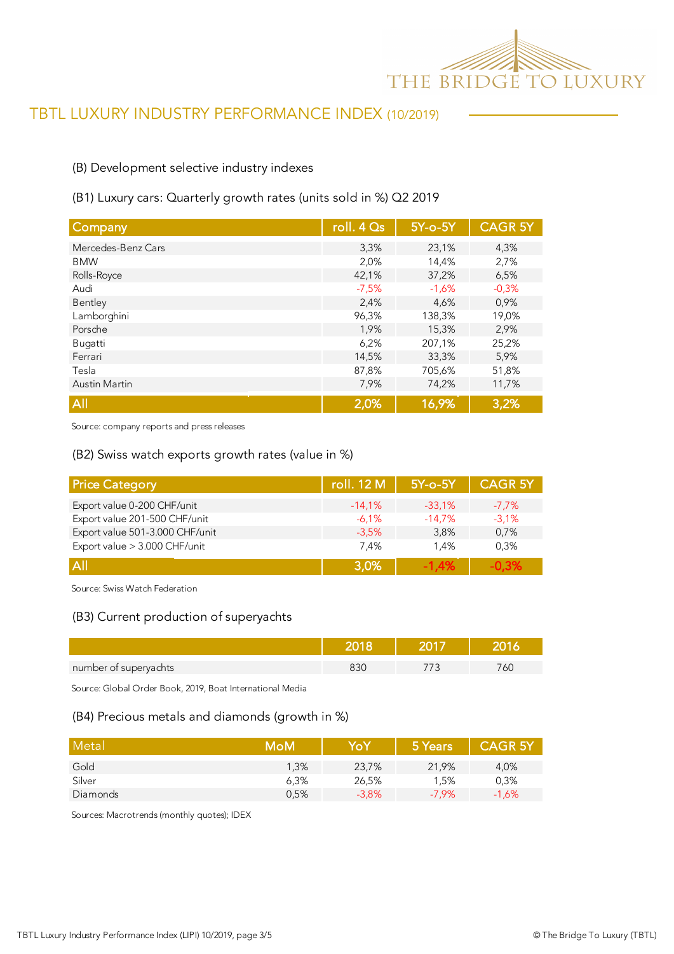

#### (B) Development selective industry indexes

#### (B1) Luxury cars: Quarterly growth rates (units sold in %) Q2 2019

| Company              | roll. 4 Qs | 5Y-o-5Y | <b>CAGR 5Y</b> |
|----------------------|------------|---------|----------------|
| Mercedes-Benz Cars   | 3,3%       | 23,1%   | 4,3%           |
| <b>BMW</b>           | 2,0%       | 14,4%   | 2,7%           |
| Rolls-Royce          | 42,1%      | 37,2%   | 6,5%           |
| Audi                 | $-7,5%$    | $-1,6%$ | $-0,3%$        |
| Bentley              | 2,4%       | 4,6%    | 0,9%           |
| Lamborghini          | 96,3%      | 138,3%  | 19,0%          |
| Porsche              | 1,9%       | 15,3%   | 2,9%           |
| Bugatti              | 6,2%       | 207,1%  | 25,2%          |
| Ferrari              | 14,5%      | 33,3%   | 5,9%           |
| Tesla                | 87,8%      | 705,6%  | 51,8%          |
| <b>Austin Martin</b> | 7,9%       | 74,2%   | 11,7%          |
| All                  | 2,0%       | 16,9%   | 3,2%           |

Source: company reports and press releases

#### (B2) Swiss watch exports growth rates (value in %)

| <b>Price Category</b>           | roll. 12 M | 5Y-o-5Y  | <b>CAGR 5Y</b> |
|---------------------------------|------------|----------|----------------|
| Export value 0-200 CHF/unit     | $-14.1%$   | $-33.1%$ | $-7.7%$        |
| Export value 201-500 CHF/unit   | $-6.1%$    | $-14,7%$ | $-3.1%$        |
| Export value 501-3.000 CHF/unit | $-3.5%$    | 3.8%     | 0,7%           |
| Export value > 3.000 CHF/unit   | 7.4%       | 1.4%     | 0.3%           |
| A                               | 3,0%       | $-1.4%$  |                |

Source: Swiss Watch Federation

#### (B3) Current production of superyachts

| number of superyachts |  | C. |
|-----------------------|--|----|

Source: Global Order Book, 2019, Boat International Media

#### (B4) Precious metals and diamonds (growth in %)

| Metal    | MoM  | YoY     | 5 Years  | <b>CAGR 5Y</b> |
|----------|------|---------|----------|----------------|
| Gold     | 1.3% | 23,7%   | 21,9%    | 4,0%           |
| Silver   | 6,3% | 26,5%   | 1.5%     | 0,3%           |
| Diamonds | 0,5% | $-3,8%$ | $-7.9\%$ | $-1,6%$        |

Sources: Macrotrends (monthly quotes); IDEX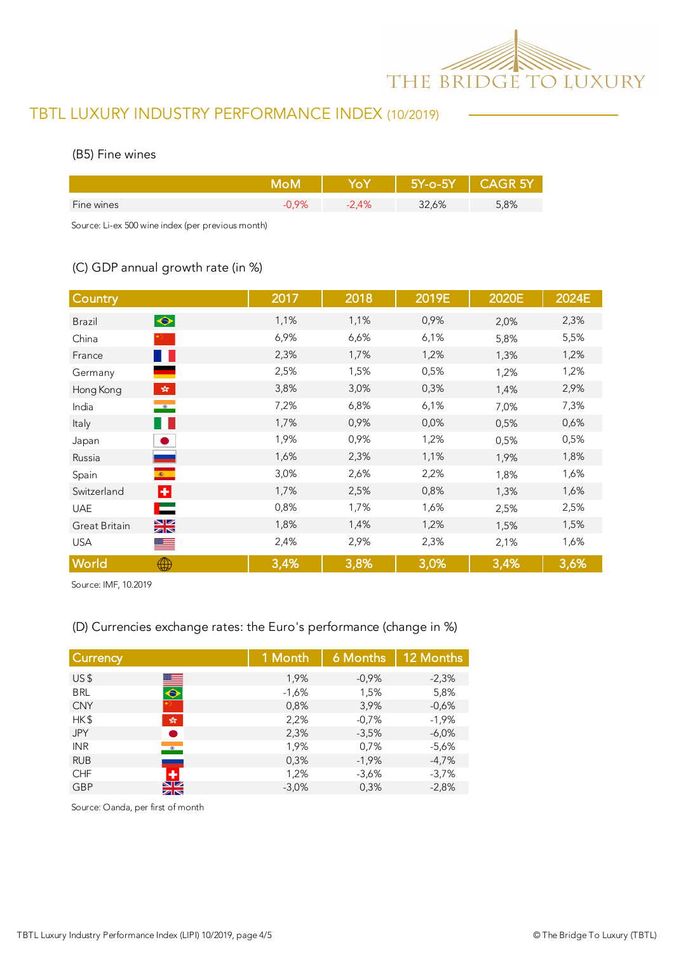

#### (B5) Fine wines

|            |      | 557-0-58 | $\triangle$ $\triangle$ GR 5 $\angle$ |
|------------|------|----------|---------------------------------------|
| Fine wines | 2.4% | 32,6%    | 5,8%                                  |

Source: Li-ex 500 wine index (per previous month)

### (C) GDP annual growth rate (in %)

| Country                                              | 2017 | 2018 | 2019E | 2020E | 2024E |
|------------------------------------------------------|------|------|-------|-------|-------|
| $\bullet$<br><b>Brazil</b>                           | 1,1% | 1,1% | 0,9%  | 2,0%  | 2,3%  |
| China                                                | 6,9% | 6,6% | 6,1%  | 5,8%  | 5,5%  |
| <u>a p</u><br>France                                 | 2,3% | 1,7% | 1,2%  | 1,3%  | 1,2%  |
| Germany                                              | 2,5% | 1,5% | 0,5%  | 1,2%  | 1,2%  |
| $\mathcal{L}^{\text{max}}_{\text{max}}$<br>Hong Kong | 3,8% | 3,0% | 0,3%  | 1,4%  | 2,9%  |
| $\bullet$<br>India                                   | 7,2% | 6,8% | 6,1%  | 7,0%  | 7,3%  |
| H.<br>Italy                                          | 1,7% | 0,9% | 0,0%  | 0,5%  | 0,6%  |
| Japan                                                | 1,9% | 0,9% | 1,2%  | 0,5%  | 0,5%  |
| Russia                                               | 1,6% | 2,3% | 1,1%  | 1,9%  | 1,8%  |
| $\langle \mathbf{0} \rangle$<br>Spain                | 3,0% | 2,6% | 2,2%  | 1,8%  | 1,6%  |
| ÷<br>Switzerland                                     | 1,7% | 2,5% | 0,8%  | 1,3%  | 1,6%  |
| ⊏<br><b>UAE</b>                                      | 0,8% | 1,7% | 1,6%  | 2,5%  | 2,5%  |
| $\frac{N}{N}$<br>Great Britain                       | 1,8% | 1,4% | 1,2%  | 1,5%  | 1,5%  |
| <b>USA</b><br>▀▀                                     | 2,4% | 2,9% | 2,3%  | 2,1%  | 1,6%  |
| World<br>⊕                                           | 3,4% | 3,8% | 3,0%  | 3,4%  | 3,6%  |

Source: IMF, 10.2019

### (D) Currencies exchange rates: the Euro's performance (change in %)

| <b>Currency</b> |                              | 1 Month | 6 Months | 12 Months |
|-----------------|------------------------------|---------|----------|-----------|
| US <sub>5</sub> |                              | 1,9%    | $-0.9%$  | $-2,3%$   |
| <b>BRL</b>      | $\blacksquare$               | $-1,6%$ | 1,5%     | 5,8%      |
| <b>CNY</b>      |                              | 0,8%    | 3,9%     | $-0,6%$   |
| HK\$            | $\frac{\sqrt{2}}{2\sqrt{3}}$ | 2,2%    | $-0,7%$  | $-1,9%$   |
| <b>JPY</b>      |                              | 2,3%    | $-3.5%$  | $-6.0\%$  |
| <b>INR</b>      | $\bullet$                    | 1,9%    | 0,7%     | $-5,6%$   |
| <b>RUB</b>      |                              | 0,3%    | $-1,9%$  | $-4.7%$   |
| <b>CHF</b>      | ٠                            | 1,2%    | $-3.6%$  | $-3,7%$   |
| <b>GBP</b>      | NZ<br>ZK                     | $-3.0%$ | 0,3%     | $-2,8%$   |

Source: Oanda, per first of month